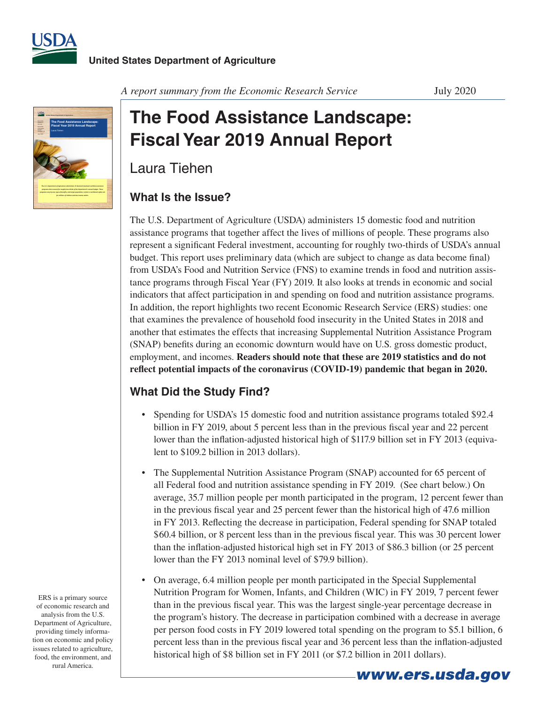



*A report summary from the Economic Research Service* July 2020

## **The Food Assistance Landscape: Fiscal Year 2019 Annual Report**

Laura Tiehen

## **What Is the Issue?**

The U.S. Department of Agriculture (USDA) administers 15 domestic food and nutrition assistance programs that together affect the lives of millions of people. These programs also represent a significant Federal investment, accounting for roughly two-thirds of USDA's annual budget. This report uses preliminary data (which are subject to change as data become final) from USDA's Food and Nutrition Service (FNS) to examine trends in food and nutrition assistance programs through Fiscal Year (FY) 2019. It also looks at trends in economic and social indicators that affect participation in and spending on food and nutrition assistance programs. In addition, the report highlights two recent Economic Research Service (ERS) studies: one that examines the prevalence of household food insecurity in the United States in 2018 and another that estimates the effects that increasing Supplemental Nutrition Assistance Program (SNAP) benefits during an economic downturn would have on U.S. gross domestic product, employment, and incomes. **Readers should note that these are 2019 statistics and do not reflect potential impacts of the coronavirus (COVID-19) pandemic that began in 2020.**

## **What Did the Study Find?**

- Spending for USDA's 15 domestic food and nutrition assistance programs totaled \$92.4 billion in FY 2019, about 5 percent less than in the previous fiscal year and 22 percent lower than the inflation-adjusted historical high of \$117.9 billion set in FY 2013 (equivalent to \$109.2 billion in 2013 dollars).
- The Supplemental Nutrition Assistance Program (SNAP) accounted for 65 percent of all Federal food and nutrition assistance spending in FY 2019. (See chart below.) On average, 35.7 million people per month participated in the program, 12 percent fewer than in the previous fiscal year and 25 percent fewer than the historical high of 47.6 million in FY 2013. Reflecting the decrease in participation, Federal spending for SNAP totaled \$60.4 billion, or 8 percent less than in the previous fiscal year. This was 30 percent lower than the inflation-adjusted historical high set in FY 2013 of \$86.3 billion (or 25 percent lower than the FY 2013 nominal level of \$79.9 billion).
- On average, 6.4 million people per month participated in the Special Supplemental Nutrition Program for Women, Infants, and Children (WIC) in FY 2019, 7 percent fewer than in the previous fiscal year. This was the largest single-year percentage decrease in the program's history. The decrease in participation combined with a decrease in average per person food costs in FY 2019 lowered total spending on the program to \$5.1 billion, 6 percent less than in the previous fiscal year and 36 percent less than the inflation-adjusted historical high of \$8 billion set in FY 2011 (or \$7.2 billion in 2011 dollars).

ERS is a primary source of economic research and analysis from the U.S. Department of Agriculture, providing timely information on economic and policy issues related to agriculture, food, the environment, and rural America.